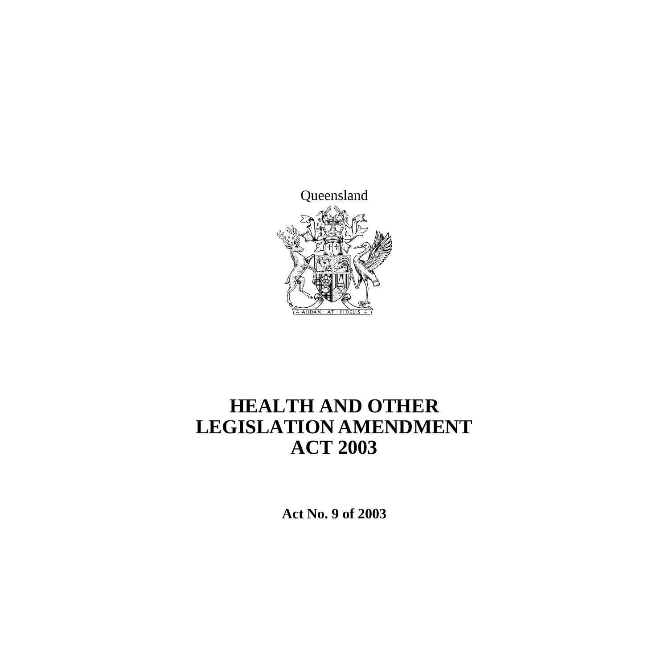

# **HEALTH AND OTHER LEGISLATION AMENDMENT ACT 2003**

**Act No. 9 of 2003**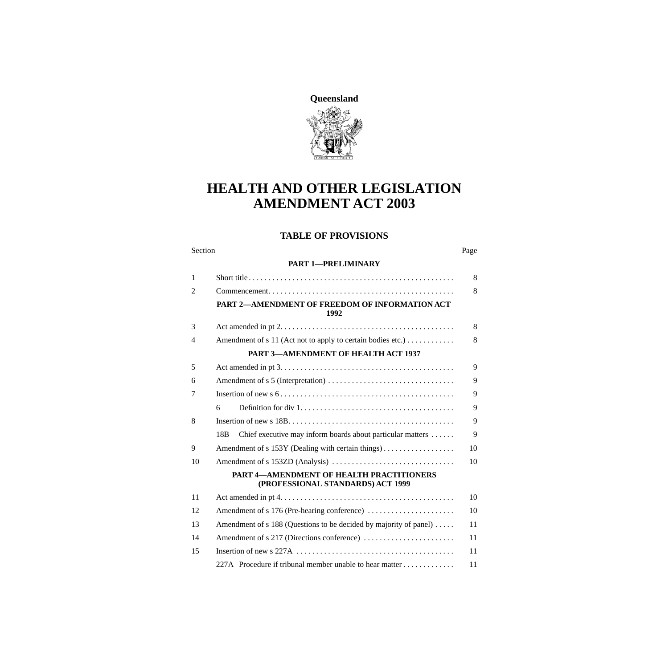

## **HEALTH AND OTHER LEGISLATION AMENDMENT ACT 2003**

#### **TABLE OF PROVISIONS**

| Section | Page |
|---------|------|
|---------|------|

#### **[PART 1—PRELIMINARY](#page-9-0)**

| $\mathbf{1}$   |                                                                                      |    |
|----------------|--------------------------------------------------------------------------------------|----|
| $\overline{2}$ |                                                                                      | 8  |
|                | PART 2-AMENDMENT OF FREEDOM OF INFORMATION ACT<br>1992                               |    |
| 3              |                                                                                      | 8  |
| 4              | Amendment of s 11 (Act not to apply to certain bodies etc.)                          | 8  |
|                | PART 3-AMENDMENT OF HEALTH ACT 1937                                                  |    |
| 5              |                                                                                      | 9  |
| 6              |                                                                                      |    |
| 7              |                                                                                      | 9  |
|                | 6                                                                                    | 9  |
| 8              |                                                                                      | 9  |
|                | 18 <sub>B</sub><br>Chief executive may inform boards about particular matters        | 9  |
| 9              | Amendment of s 153Y (Dealing with certain things)                                    | 10 |
| 10             |                                                                                      |    |
|                | <b>PART 4-AMENDMENT OF HEALTH PRACTITIONERS</b><br>(PROFESSIONAL STANDARDS) ACT 1999 |    |
| 11             |                                                                                      | 10 |
| 12             | Amendment of s 176 (Pre-hearing conference)                                          | 10 |
| 13             | Amendment of s 188 (Questions to be decided by majority of panel)                    | 11 |
| 14             | Amendment of s 217 (Directions conference)                                           | 11 |
| 15             |                                                                                      | 11 |
|                | 227A Procedure if tribunal member unable to hear matter                              | 11 |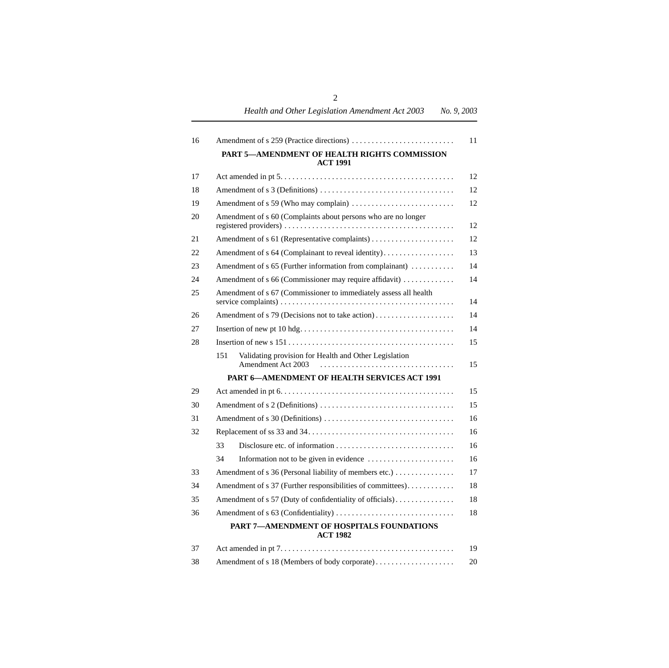*Health and Other Legislation Amendment Act 2003 No. 9, 2003*

| 16 |                                                                                    | 11 |  |
|----|------------------------------------------------------------------------------------|----|--|
|    | PART 5-AMENDMENT OF HEALTH RIGHTS COMMISSION<br><b>ACT 1991</b>                    |    |  |
| 17 |                                                                                    | 12 |  |
| 18 |                                                                                    | 12 |  |
| 19 |                                                                                    | 12 |  |
| 20 | Amendment of s 60 (Complaints about persons who are no longer                      |    |  |
| 21 |                                                                                    | 12 |  |
| 22 | Amendment of s 64 (Complainant to reveal identity)                                 | 13 |  |
| 23 | Amendment of s 65 (Further information from complainant)                           | 14 |  |
| 24 | Amendment of s 66 (Commissioner may require affidavit)                             | 14 |  |
| 25 | Amendment of s 67 (Commissioner to immediately assess all health<br>14             |    |  |
| 26 | Amendment of s 79 (Decisions not to take action)                                   | 14 |  |
| 27 |                                                                                    | 14 |  |
| 28 |                                                                                    | 15 |  |
|    | Validating provision for Health and Other Legislation<br>151<br>Amendment Act 2003 | 15 |  |
|    | <b>PART 6-AMENDMENT OF HEALTH SERVICES ACT 1991</b>                                |    |  |
| 29 |                                                                                    | 15 |  |
| 30 |                                                                                    | 15 |  |
| 31 |                                                                                    |    |  |
| 32 |                                                                                    | 16 |  |
|    | 33                                                                                 | 16 |  |
|    | 34                                                                                 | 16 |  |
| 33 | Amendment of s 36 (Personal liability of members etc.)                             | 17 |  |
| 34 | Amendment of s 37 (Further responsibilities of committees).                        |    |  |
| 35 | Amendment of s 57 (Duty of confidentiality of officials)                           |    |  |
| 36 |                                                                                    | 18 |  |
|    | PART 7-AMENDMENT OF HOSPITALS FOUNDATIONS<br><b>ACT 1982</b>                       |    |  |
| 37 |                                                                                    | 19 |  |

| 38 |  | 20 |
|----|--|----|
|----|--|----|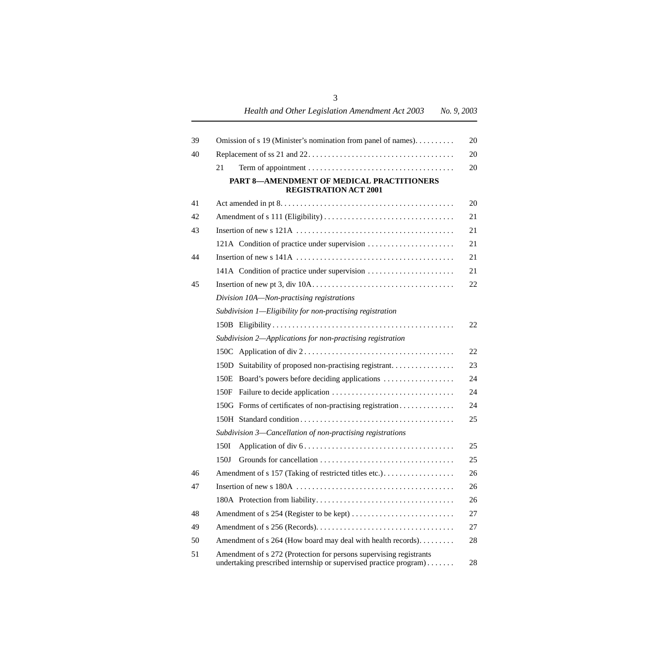| 39 | Omission of s 19 (Minister's nomination from panel of names).                                                                           | 20 |
|----|-----------------------------------------------------------------------------------------------------------------------------------------|----|
| 40 |                                                                                                                                         | 20 |
|    | 21                                                                                                                                      | 20 |
|    | PART 8-AMENDMENT OF MEDICAL PRACTITIONERS<br><b>REGISTRATION ACT 2001</b>                                                               |    |
| 41 |                                                                                                                                         | 20 |
| 42 |                                                                                                                                         | 21 |
| 43 |                                                                                                                                         | 21 |
|    | 121A Condition of practice under supervision                                                                                            | 21 |
| 44 |                                                                                                                                         | 21 |
|    | 141A Condition of practice under supervision                                                                                            | 21 |
| 45 |                                                                                                                                         | 22 |
|    | Division 10A-Non-practising registrations                                                                                               |    |
|    | Subdivision 1—Eligibility for non-practising registration                                                                               |    |
|    |                                                                                                                                         | 22 |
|    | Subdivision 2-Applications for non-practising registration                                                                              |    |
|    |                                                                                                                                         | 22 |
|    | 150D Suitability of proposed non-practising registrant                                                                                  | 23 |
|    | Board's powers before deciding applications<br>150E                                                                                     | 24 |
|    | 150F                                                                                                                                    | 24 |
|    | 150G Forms of certificates of non-practising registration                                                                               | 24 |
|    |                                                                                                                                         | 25 |
|    | Subdivision 3—Cancellation of non-practising registrations                                                                              |    |
|    | 150I                                                                                                                                    | 25 |
|    | 150J                                                                                                                                    | 25 |
| 46 | Amendment of s 157 (Taking of restricted titles etc.).                                                                                  | 26 |
| 47 |                                                                                                                                         | 26 |
|    |                                                                                                                                         | 26 |
| 48 |                                                                                                                                         | 27 |
| 49 |                                                                                                                                         | 27 |
| 50 | Amendment of s 264 (How board may deal with health records).                                                                            | 28 |
| 51 | Amendment of s 272 (Protection for persons supervising registrants<br>undertaking prescribed internship or supervised practice program) | 28 |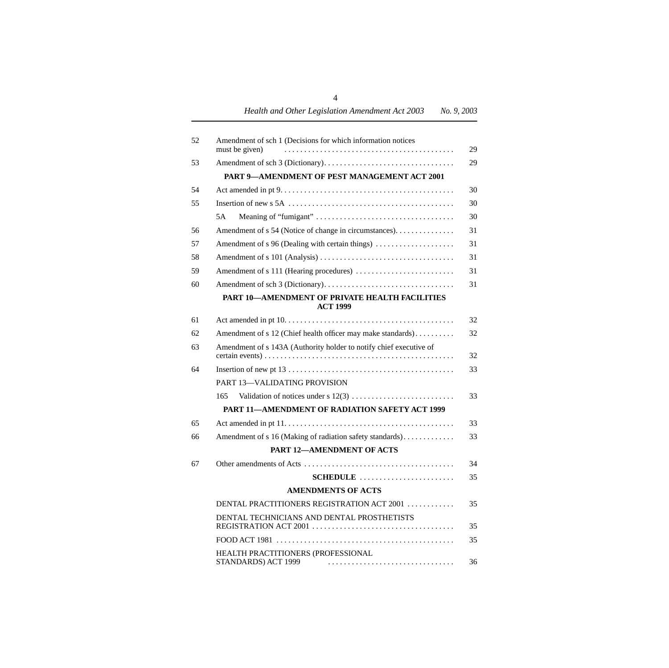| 52 | Amendment of sch 1 (Decisions for which information notices<br>must be given) | 29 |
|----|-------------------------------------------------------------------------------|----|
| 53 |                                                                               | 29 |
|    | PART 9-AMENDMENT OF PEST MANAGEMENT ACT 2001                                  |    |
| 54 |                                                                               | 30 |
| 55 |                                                                               | 30 |
|    | 5A                                                                            | 30 |
| 56 | Amendment of s 54 (Notice of change in circumstances).                        | 31 |
| 57 | Amendment of s 96 (Dealing with certain things)                               | 31 |
| 58 |                                                                               | 31 |
| 59 |                                                                               | 31 |
| 60 |                                                                               | 31 |
|    | PART 10-AMENDMENT OF PRIVATE HEALTH FACILITIES<br><b>ACT 1999</b>             |    |
| 61 |                                                                               | 32 |
| 62 | Amendment of s 12 (Chief health officer may make standards)                   | 32 |
| 63 | Amendment of s 143A (Authority holder to notify chief executive of            | 32 |
| 64 |                                                                               | 33 |
|    | PART 13-VALIDATING PROVISION                                                  |    |
|    | 165                                                                           | 33 |
|    | PART 11-AMENDMENT OF RADIATION SAFETY ACT 1999                                |    |
| 65 |                                                                               | 33 |
| 66 | Amendment of s 16 (Making of radiation safety standards)                      | 33 |
|    | <b>PART 12-AMENDMENT OF ACTS</b>                                              |    |
| 67 |                                                                               | 34 |
|    | SCHEDULE                                                                      | 35 |
|    | <b>AMENDMENTS OF ACTS</b>                                                     |    |
|    | DENTAL PRACTITIONERS REGISTRATION ACT 2001                                    | 35 |
|    | DENTAL TECHNICIANS AND DENTAL PROSTHETISTS                                    | 35 |
|    |                                                                               | 35 |
|    | HEALTH PRACTITIONERS (PROFESSIONAL<br>STANDARDS) ACT 1999                     | 36 |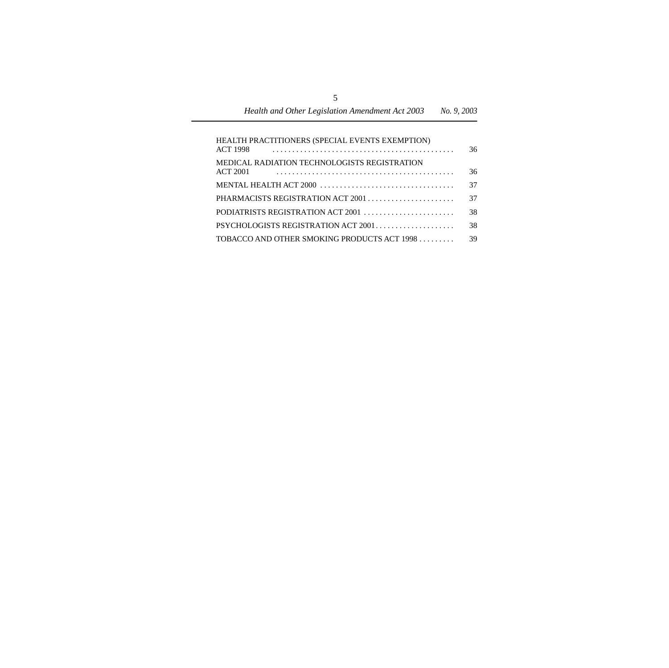| HEALTH PRACTITIONERS (SPECIAL EVENTS EXEMPTION) |    |
|-------------------------------------------------|----|
| <b>ACT 1998</b>                                 | 36 |
| MEDICAL RADIATION TECHNOLOGISTS REGISTRATION    |    |
| <b>ACT 2001</b>                                 | 36 |
|                                                 | 37 |
|                                                 | 37 |
|                                                 | 38 |
| PSYCHOLOGISTS REGISTRATION ACT 2001             | 38 |
| TOBACCO AND OTHER SMOKING PRODUCTS ACT 1998     | 39 |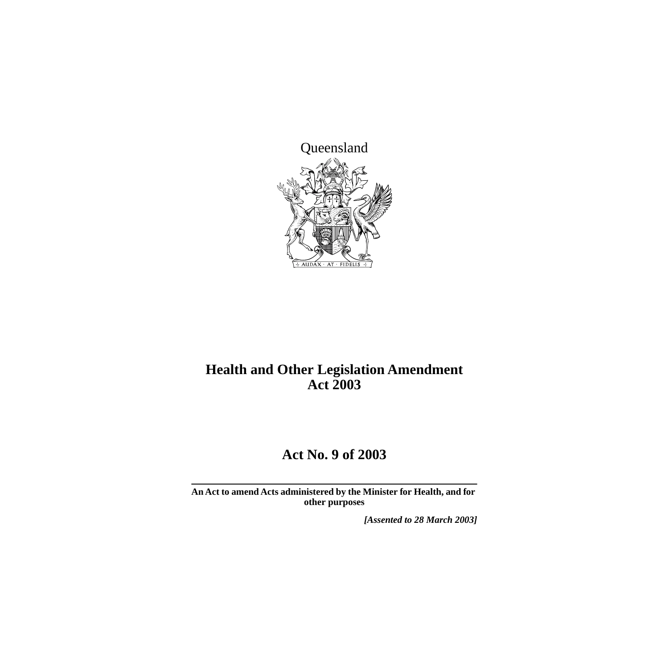

## **Health and Other Legislation Amendment Act 2003**

## **Act No. 9 of 2003**

**An Act to amend Acts administered by the Minister for Health, and for other purposes**

*[Assented to 28 March 2003]*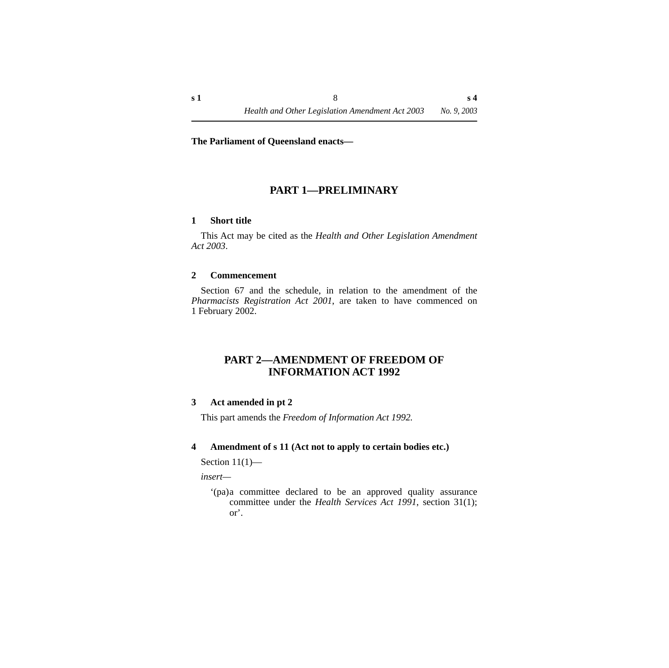#### **The Parliament of Queensland enacts—**

### **PART 1—PRELIMINARY**

#### <span id="page-9-1"></span><span id="page-9-0"></span>**1 Short title**

This Act may be cited as the *Health and Other Legislation Amendment Act 2003*.

#### <span id="page-9-2"></span>**2 Commencement**

Section 67 and the schedule, in relation to the amendment of the *Pharmacists Registration Act 2001*, are taken to have commenced on 1 February 2002.

#### <span id="page-9-3"></span>**PART 2—AMENDMENT OF FREEDOM OF INFORMATION ACT 1992**

#### <span id="page-9-4"></span>**3 Act amended in pt 2**

This part amends the *Freedom of Information Act 1992.*

#### <span id="page-9-5"></span>**4 Amendment of s 11 (Act not to apply to certain bodies etc.)**

Section  $11(1)$ —

*insert—*

'(pa)a committee declared to be an approved quality assurance committee under the *Health Services Act 1991*, section 31(1); or'.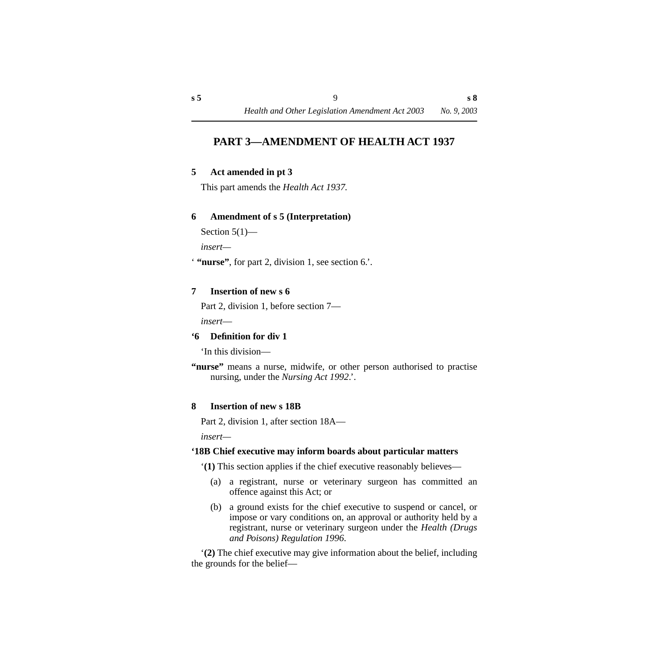## <span id="page-10-0"></span>**PART 3—AMENDMENT OF HEALTH ACT 1937**

#### <span id="page-10-1"></span>**5 Act amended in pt 3**

This part amends the *Health Act 1937.*

#### <span id="page-10-2"></span>**6 Amendment of s 5 (Interpretation)**

```
Section 5(1)—
```
*insert—*

' **"nurse"**, for part 2, division 1, see section 6.'.

#### <span id="page-10-3"></span>**7 Insertion of new s 6**

Part 2, division 1, before section 7—

*insert*—

#### <span id="page-10-4"></span>**'6 Definition for div 1**

'In this division—

#### <span id="page-10-5"></span>**8 Insertion of new s 18B**

Part 2, division 1, after section 18A—

*insert—*

#### <span id="page-10-6"></span>**'18B Chief executive may inform boards about particular matters**

'**(1)** This section applies if the chief executive reasonably believes—

- (a) a registrant, nurse or veterinary surgeon has committed an offence against this Act; or
- (b) a ground exists for the chief executive to suspend or cancel, or impose or vary conditions on, an approval or authority held by a registrant, nurse or veterinary surgeon under the *Health (Drugs and Poisons) Regulation 1996*.

'**(2)** The chief executive may give information about the belief, including the grounds for the belief—

**<sup>&</sup>quot;nurse"** means a nurse, midwife, or other person authorised to practise nursing, under the *Nursing Act 1992*.'.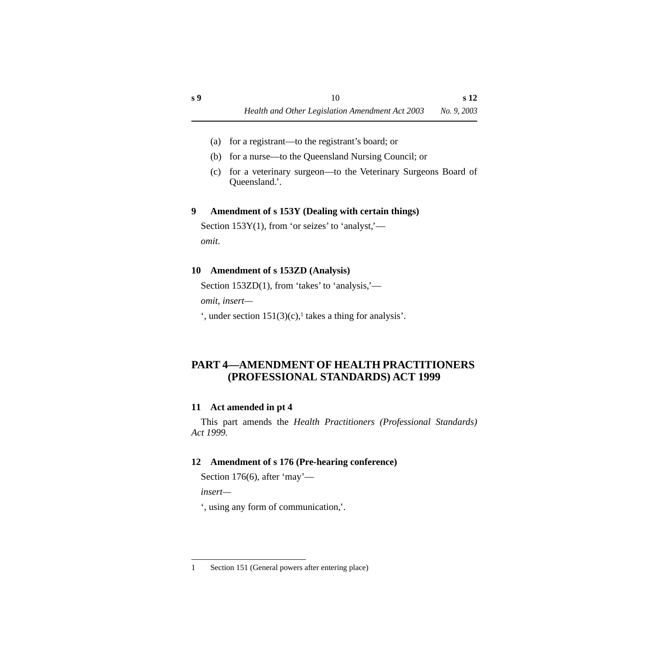- (a) for a registrant—to the registrant's board; or
- (b) for a nurse—to the Queensland Nursing Council; or
- (c) for a veterinary surgeon—to the Veterinary Surgeons Board of Queensland.'.

#### <span id="page-11-0"></span>**9 Amendment of s 153Y (Dealing with certain things)**

Section  $153Y(1)$ , from 'or seizes' to 'analyst,' *omit*.

### <span id="page-11-1"></span>**10 Amendment of s 153ZD (Analysis)**

Section 153ZD(1), from 'takes' to 'analysis,' *omit, insert—*

 $\cdot$ , under section 151(3)(c),<sup>1</sup> takes a thing for analysis'.

## <span id="page-11-2"></span>**PART 4—AMENDMENT OF HEALTH PRACTITIONERS (PROFESSIONAL STANDARDS) ACT 1999**

## <span id="page-11-3"></span>**11 Act amended in pt 4**

This part amends the *Health Practitioners (Professional Standards) Act 1999.*

## <span id="page-11-4"></span>**12 Amendment of s 176 (Pre-hearing conference)**

Section 176(6), after 'may'—

*insert—*

', using any form of communication,'.

<sup>1</sup> Section 151 (General powers after entering place)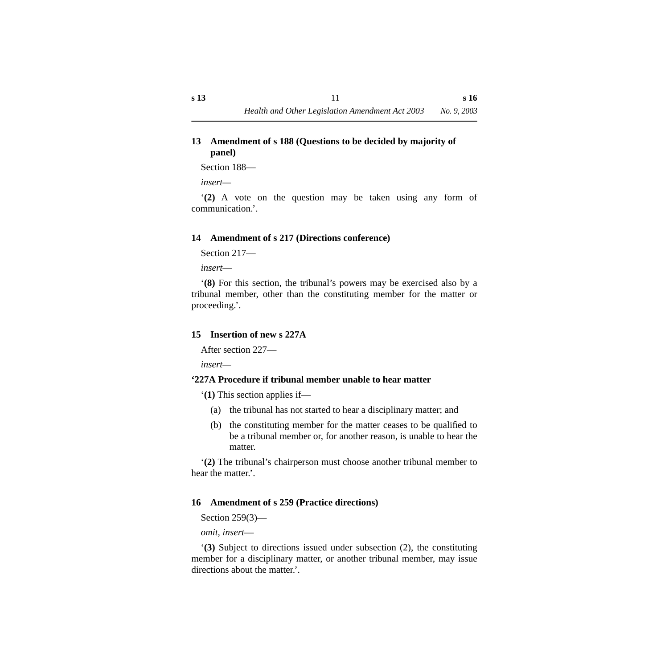#### <span id="page-12-0"></span>**13 Amendment of s 188 (Questions to be decided by majority of panel)**

Section 188—

*insert—*

'**(2)** A vote on the question may be taken using any form of communication.'.

#### <span id="page-12-1"></span>**14 Amendment of s 217 (Directions conference)**

Section 217—

*insert*—

'**(8)** For this section, the tribunal's powers may be exercised also by a tribunal member, other than the constituting member for the matter or proceeding.'.

#### <span id="page-12-2"></span>**15 Insertion of new s 227A**

After section 227—

*insert—*

#### <span id="page-12-3"></span>**'227A Procedure if tribunal member unable to hear matter**

'**(1)** This section applies if—

- (a) the tribunal has not started to hear a disciplinary matter; and
- (b) the constituting member for the matter ceases to be qualified to be a tribunal member or, for another reason, is unable to hear the matter.

'**(2)** The tribunal's chairperson must choose another tribunal member to hear the matter.'.

#### <span id="page-12-4"></span>**16 Amendment of s 259 (Practice directions)**

Section 259(3)—

*omit, insert*—

'**(3)** Subject to directions issued under subsection (2), the constituting member for a disciplinary matter, or another tribunal member, may issue directions about the matter.'.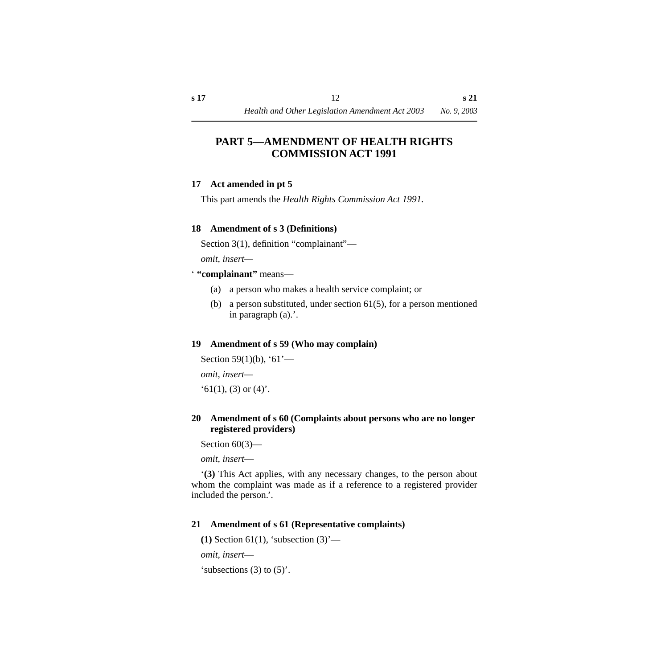## <span id="page-13-0"></span>**PART 5—AMENDMENT OF HEALTH RIGHTS COMMISSION ACT 1991**

#### <span id="page-13-1"></span>**17 Act amended in pt 5**

This part amends the *Health Rights Commission Act 1991.*

#### <span id="page-13-2"></span>**18 Amendment of s 3 (Definitions)**

Section 3(1), definition "complainant"—

*omit, insert—*

' **"complainant"** means—

- (a) a person who makes a health service complaint; or
- (b) a person substituted, under section 61(5), for a person mentioned in paragraph (a).'.

#### <span id="page-13-3"></span>**19 Amendment of s 59 (Who may complain)**

```
Section 59(1)(b), '61'—
omit, insert—
(61(1), (3) or (4).
```
#### <span id="page-13-4"></span>**20 Amendment of s 60 (Complaints about persons who are no longer registered providers)**

Section  $60(3)$ —

*omit, insert*—

'**(3)** This Act applies, with any necessary changes, to the person about whom the complaint was made as if a reference to a registered provider included the person.'.

#### <span id="page-13-5"></span>**21 Amendment of s 61 (Representative complaints)**

**(1)** Section 61(1), 'subsection (3)'—

*omit, insert*—

'subsections  $(3)$  to  $(5)'$ .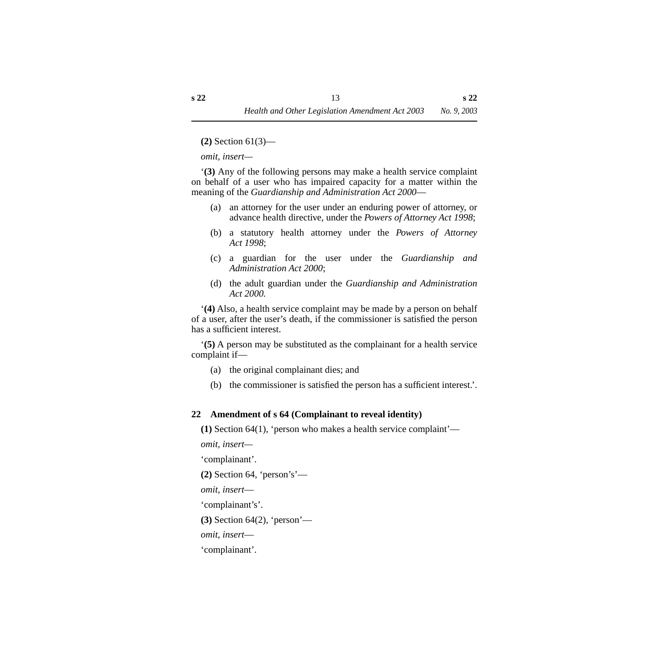**(2)** Section 61(3)—

*omit, insert—*

'**(3)** Any of the following persons may make a health service complaint on behalf of a user who has impaired capacity for a matter within the meaning of the *Guardianship and Administration Act 2000*—

- (a) an attorney for the user under an enduring power of attorney, or advance health directive, under the *Powers of Attorney Act 1998*;
- (b) a statutory health attorney under the *Powers of Attorney Act 1998*;
- (c) a guardian for the user under the *Guardianship and Administration Act 2000*;
- (d) the adult guardian under the *Guardianship and Administration Act 2000.*

'**(4)** Also, a health service complaint may be made by a person on behalf of a user, after the user's death, if the commissioner is satisfied the person has a sufficient interest.

'**(5)** A person may be substituted as the complainant for a health service complaint if—

- (a) the original complainant dies; and
- (b) the commissioner is satisfied the person has a sufficient interest.'.

#### <span id="page-14-0"></span>**22 Amendment of s 64 (Complainant to reveal identity)**

**(1)** Section 64(1), 'person who makes a health service complaint'—

*omit, insert—*

'complainant'.

**(2)** Section 64, 'person's'—

*omit, insert*—

'complainant's'.

**(3)** Section 64(2), 'person'—

*omit, insert*—

'complainant'.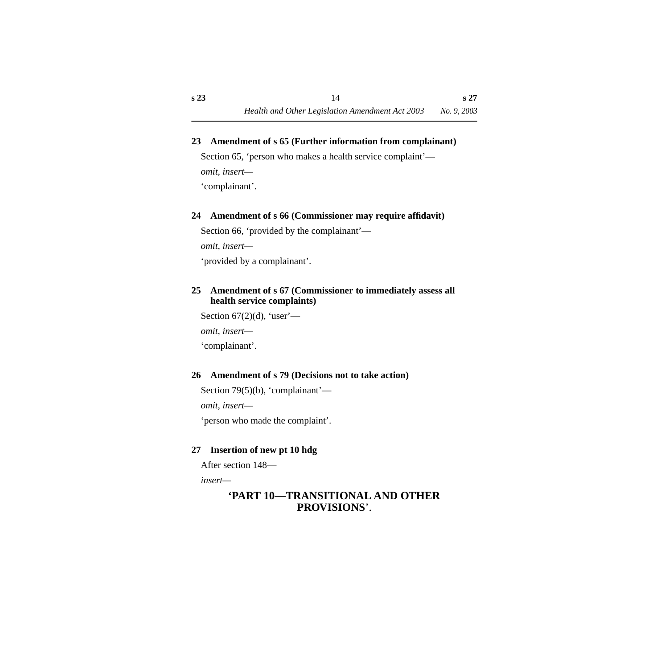#### <span id="page-15-0"></span>**23 Amendment of s 65 (Further information from complainant)**

Section 65, 'person who makes a health service complaint'—

*omit, insert—*

'complainant'.

#### <span id="page-15-1"></span>**24 Amendment of s 66 (Commissioner may require affidavit)**

Section 66, 'provided by the complainant'—

*omit, insert—*

'provided by a complainant'.

#### <span id="page-15-2"></span>**25 Amendment of s 67 (Commissioner to immediately assess all health service complaints)**

Section  $67(2)(d)$ , 'user'—

*omit, insert—*

'complainant'.

#### <span id="page-15-3"></span>**26 Amendment of s 79 (Decisions not to take action)**

Section 79(5)(b), 'complainant'—

*omit, insert—*

'person who made the complaint'.

#### <span id="page-15-4"></span>**27 Insertion of new pt 10 hdg**

After section 148—

*insert—*

## **'PART 10—TRANSITIONAL AND OTHER PROVISIONS**'.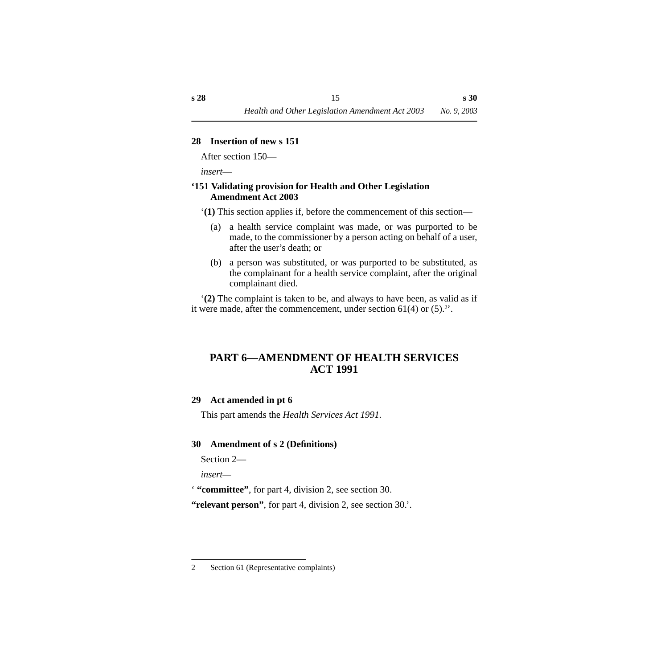#### <span id="page-16-0"></span>**28 Insertion of new s 151**

After section 150—

*insert*—

#### <span id="page-16-1"></span>**'151 Validating provision for Health and Other Legislation Amendment Act 2003**

'**(1)** This section applies if, before the commencement of this section—

- (a) a health service complaint was made, or was purported to be made, to the commissioner by a person acting on behalf of a user, after the user's death; or
- (b) a person was substituted, or was purported to be substituted, as the complainant for a health service complaint, after the original complainant died.

'**(2)** The complaint is taken to be, and always to have been, as valid as if it were made, after the commencement, under section  $61(4)$  or  $(5).$ <sup>2'</sup>.

## <span id="page-16-2"></span>**PART 6—AMENDMENT OF HEALTH SERVICES ACT 1991**

#### <span id="page-16-3"></span>**29 Act amended in pt 6**

This part amends the *Health Services Act 1991.*

#### <span id="page-16-4"></span>**30 Amendment of s 2 (Definitions)**

Section 2—

*insert—*

' **"committee"**, for part 4, division 2, see section 30.

**"relevant person"**, for part 4, division 2, see section 30.'.

<sup>2</sup> Section 61 (Representative complaints)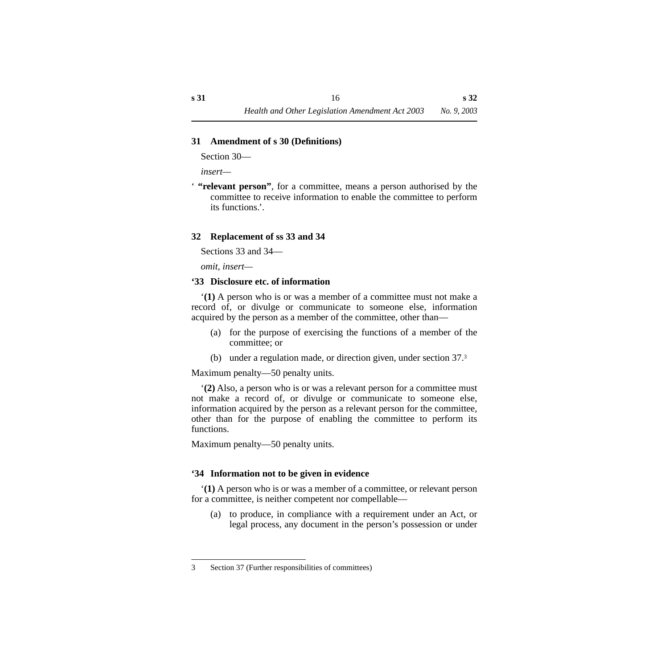#### <span id="page-17-0"></span>**31 Amendment of s 30 (Definitions)**

Section 30—

*insert—*

' **"relevant person"**, for a committee, means a person authorised by the committee to receive information to enable the committee to perform its functions.'.

#### <span id="page-17-1"></span>**32 Replacement of ss 33 and 34**

Sections 33 and 34—

*omit, insert—*

#### <span id="page-17-2"></span>**'33 Disclosure etc. of information**

'**(1)** A person who is or was a member of a committee must not make a record of, or divulge or communicate to someone else, information acquired by the person as a member of the committee, other than—

- (a) for the purpose of exercising the functions of a member of the committee; or
- (b) under a regulation made, or direction given, under section 37.3

Maximum penalty—50 penalty units.

'**(2)** Also, a person who is or was a relevant person for a committee must not make a record of, or divulge or communicate to someone else, information acquired by the person as a relevant person for the committee, other than for the purpose of enabling the committee to perform its functions.

Maximum penalty—50 penalty units.

#### <span id="page-17-3"></span>**'34 Information not to be given in evidence**

'**(1)** A person who is or was a member of a committee, or relevant person for a committee, is neither competent nor compellable—

(a) to produce, in compliance with a requirement under an Act, or legal process, any document in the person's possession or under

<sup>3</sup> Section 37 (Further responsibilities of committees)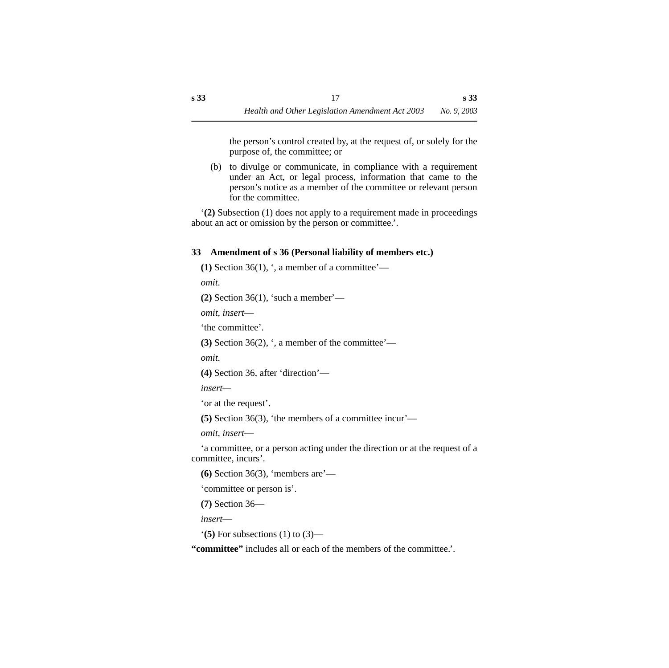the person's control created by, at the request of, or solely for the purpose of, the committee; or

(b) to divulge or communicate, in compliance with a requirement under an Act, or legal process, information that came to the person's notice as a member of the committee or relevant person for the committee.

'**(2)** Subsection (1) does not apply to a requirement made in proceedings about an act or omission by the person or committee.'.

## <span id="page-18-0"></span>**33 Amendment of s 36 (Personal liability of members etc.)**

```
(1) Section 36(1), \cdot, a member of a committee'—
```
*omit*.

**(2)** Section 36(1), 'such a member'—

```
omit, insert—
```
'the committee'.

**(3)** Section 36(2), ', a member of the committee'—

*omit*.

```
(4) Section 36, after 'direction'—
```
*insert—*

'or at the request'.

**(5)** Section 36(3), 'the members of a committee incur'—

*omit, insert*—

'a committee, or a person acting under the direction or at the request of a committee, incurs'.

**(6)** Section 36(3), 'members are'—

'committee or person is'.

**(7)** Section 36—

*insert*—

'**(5)** For subsections (1) to (3)—

**"committee"** includes all or each of the members of the committee.'.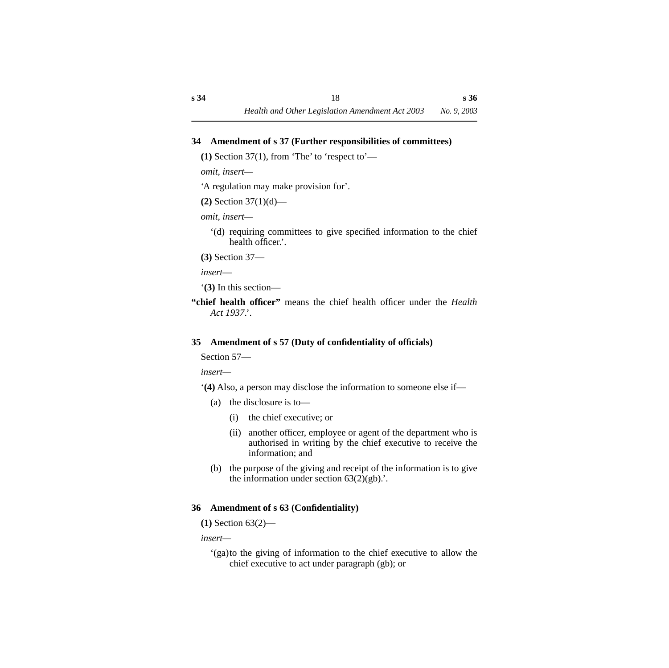#### <span id="page-19-0"></span>**34 Amendment of s 37 (Further responsibilities of committees)**

**(1)** Section 37(1), from 'The' to 'respect to'—

*omit, insert—*

'A regulation may make provision for'.

**(2)** Section 37(1)(d)—

*omit, insert—*

'(d) requiring committees to give specified information to the chief health officer.'.

**(3)** Section 37—

*insert*—

'**(3)** In this section—

**"chief health officer"** means the chief health officer under the *Health Act 1937*.'.

## <span id="page-19-1"></span>**35 Amendment of s 57 (Duty of confidentiality of officials)**

Section 57—

*insert—*

'**(4)** Also, a person may disclose the information to someone else if—

- (a) the disclosure is to—
	- (i) the chief executive; or
	- (ii) another officer, employee or agent of the department who is authorised in writing by the chief executive to receive the information; and
- (b) the purpose of the giving and receipt of the information is to give the information under section  $63(2)(gb)$ .

## <span id="page-19-2"></span>**36 Amendment of s 63 (Confidentiality)**

**(1)** Section 63(2)—

*insert—*

'(ga)to the giving of information to the chief executive to allow the chief executive to act under paragraph (gb); or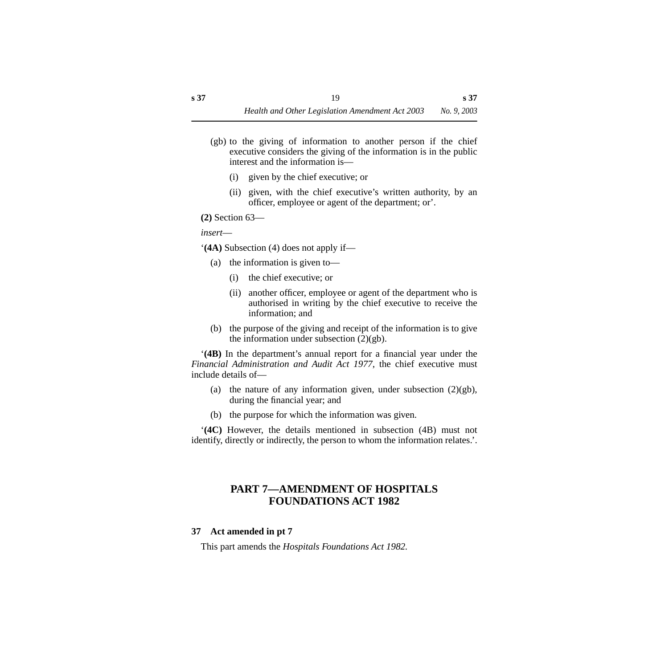- (gb) to the giving of information to another person if the chief executive considers the giving of the information is in the public interest and the information is—
	- (i) given by the chief executive; or
	- (ii) given, with the chief executive's written authority, by an officer, employee or agent of the department; or'.
- **(2)** Section 63—

*insert*—

'**(4A)** Subsection (4) does not apply if—

- (a) the information is given to—
	- (i) the chief executive; or
	- (ii) another officer, employee or agent of the department who is authorised in writing by the chief executive to receive the information; and
- (b) the purpose of the giving and receipt of the information is to give the information under subsection  $(2)(gb)$ .

'**(4B)** In the department's annual report for a financial year under the *Financial Administration and Audit Act 1977*, the chief executive must include details of—

- (a) the nature of any information given, under subsection  $(2)(gb)$ , during the financial year; and
- (b) the purpose for which the information was given.

'**(4C)** However, the details mentioned in subsection (4B) must not identify, directly or indirectly, the person to whom the information relates.'.

## <span id="page-20-0"></span>**PART 7—AMENDMENT OF HOSPITALS FOUNDATIONS ACT 1982**

#### <span id="page-20-1"></span>**37 Act amended in pt 7**

This part amends the *Hospitals Foundations Act 1982.*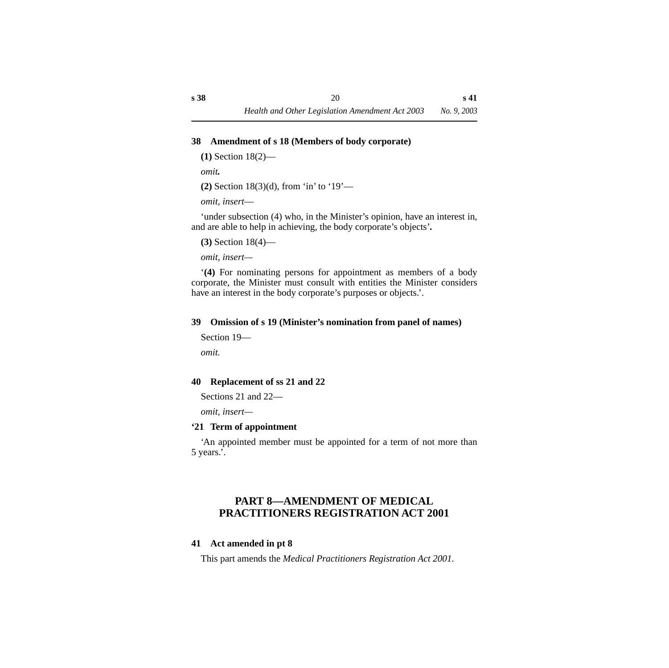#### <span id="page-21-0"></span>**38 Amendment of s 18 (Members of body corporate)**

**(1)** Section 18(2)—

*omit.*

**(2)** Section 18(3)(d), from 'in' to '19'—

*omit, insert*—

'under subsection (4) who, in the Minister's opinion, have an interest in, and are able to help in achieving, the body corporate's objects'*.*

**(3)** Section 18(4)—

*omit, insert—*

'**(4)** For nominating persons for appointment as members of a body corporate, the Minister must consult with entities the Minister considers have an interest in the body corporate's purposes or objects.'.

#### <span id="page-21-1"></span>**39 Omission of s 19 (Minister's nomination from panel of names)**

```
Section 19—
```
*omit.*

#### <span id="page-21-2"></span>**40 Replacement of ss 21 and 22**

Sections 21 and 22—

*omit, insert—*

#### <span id="page-21-3"></span>**'21 Term of appointment**

'An appointed member must be appointed for a term of not more than 5 years.'.

## <span id="page-21-4"></span>**PART 8—AMENDMENT OF MEDICAL PRACTITIONERS REGISTRATION ACT 2001**

#### <span id="page-21-5"></span>**41 Act amended in pt 8**

This part amends the *Medical Practitioners Registration Act 2001.*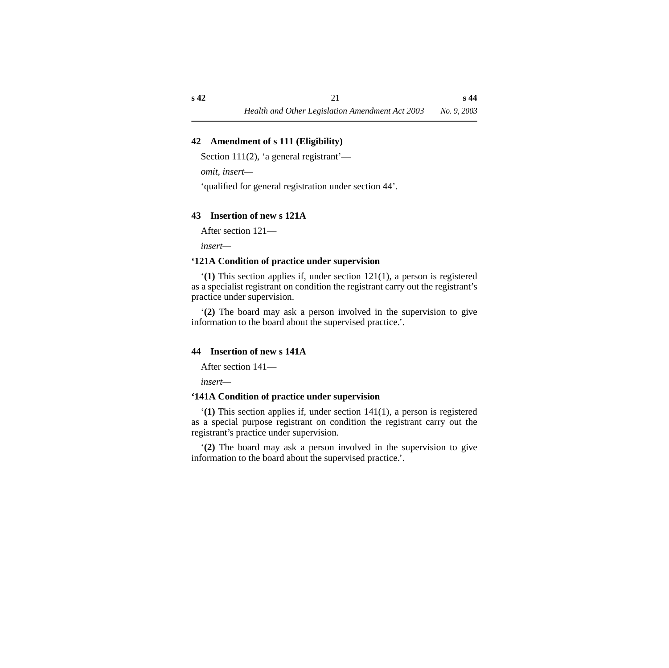#### <span id="page-22-0"></span>**42 Amendment of s 111 (Eligibility)**

Section 111(2), 'a general registrant'—

*omit, insert—*

'qualified for general registration under section 44'.

#### <span id="page-22-1"></span>**43 Insertion of new s 121A**

After section 121—

*insert—*

#### <span id="page-22-2"></span>**'121A Condition of practice under supervision**

'**(1)** This section applies if, under section 121(1), a person is registered as a specialist registrant on condition the registrant carry out the registrant's practice under supervision.

'**(2)** The board may ask a person involved in the supervision to give information to the board about the supervised practice.'.

#### <span id="page-22-3"></span>**44 Insertion of new s 141A**

After section 141—

*insert—*

#### <span id="page-22-4"></span>**'141A Condition of practice under supervision**

'**(1)** This section applies if, under section 141(1), a person is registered as a special purpose registrant on condition the registrant carry out the registrant's practice under supervision.

'**(2)** The board may ask a person involved in the supervision to give information to the board about the supervised practice.'.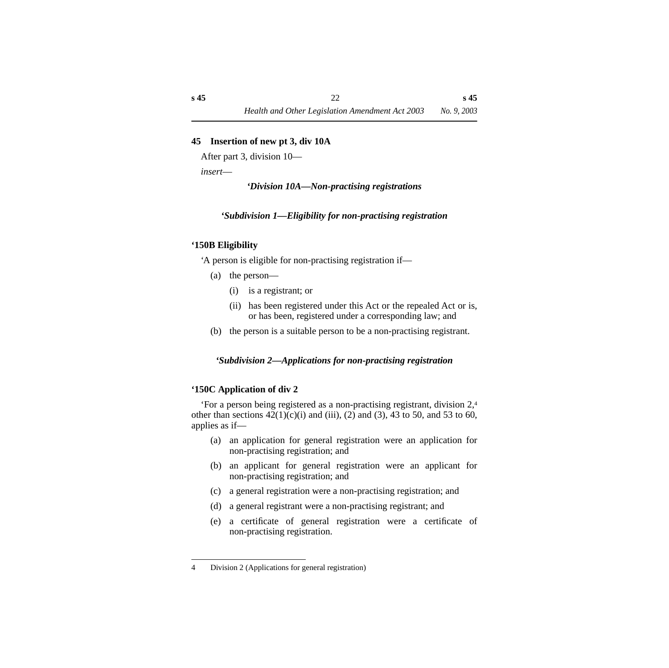#### <span id="page-23-0"></span>**45 Insertion of new pt 3, div 10A**

After part 3, division 10—

<span id="page-23-1"></span>*insert*—

*'Division 10A—Non-practising registrations*

#### *'Subdivision 1—Eligibility for non-practising registration*

#### <span id="page-23-3"></span><span id="page-23-2"></span>**'150B Eligibility**

'A person is eligible for non-practising registration if—

- (a) the person—
	- (i) is a registrant; or
	- (ii) has been registered under this Act or the repealed Act or is, or has been, registered under a corresponding law; and
- (b) the person is a suitable person to be a non-practising registrant.

#### <span id="page-23-4"></span>*'Subdivision 2—Applications for non-practising registration*

#### <span id="page-23-5"></span>**'150C Application of div 2**

'For a person being registered as a non-practising registrant, division 2,4 other than sections  $42(1)(c)(i)$  and (iii), (2) and (3), 43 to 50, and 53 to 60, applies as if—

- (a) an application for general registration were an application for non-practising registration; and
- (b) an applicant for general registration were an applicant for non-practising registration; and
- (c) a general registration were a non-practising registration; and
- (d) a general registrant were a non-practising registrant; and
- (e) a certificate of general registration were a certificate of non-practising registration.

<sup>4</sup> Division 2 (Applications for general registration)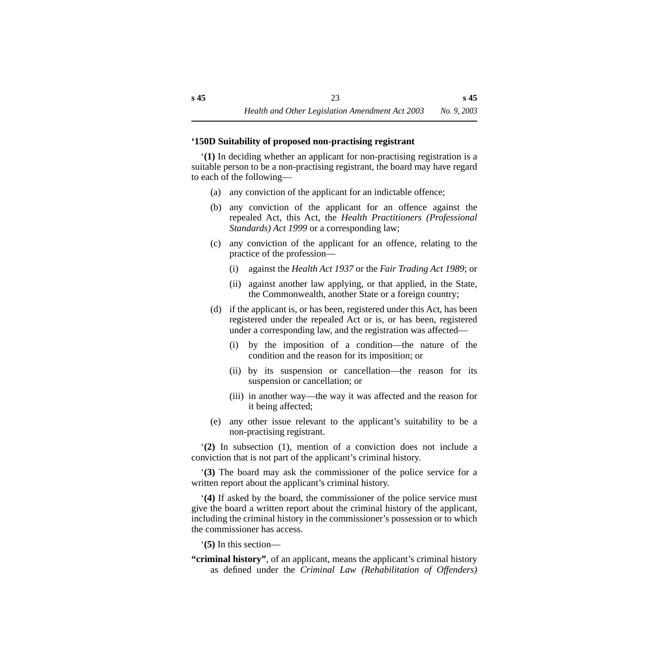#### <span id="page-24-0"></span>**'150D Suitability of proposed non-practising registrant**

'**(1)** In deciding whether an applicant for non-practising registration is a suitable person to be a non-practising registrant, the board may have regard to each of the following—

- (a) any conviction of the applicant for an indictable offence;
- (b) any conviction of the applicant for an offence against the repealed Act, this Act, the *Health Practitioners (Professional Standards) Act 1999* or a corresponding law;
- (c) any conviction of the applicant for an offence, relating to the practice of the profession—
	- (i) against the *Health Act 1937* or the *Fair Trading Act 1989*; or
	- (ii) against another law applying, or that applied, in the State, the Commonwealth, another State or a foreign country;
- (d) if the applicant is, or has been, registered under this Act, has been registered under the repealed Act or is, or has been, registered under a corresponding law, and the registration was affected—
	- (i) by the imposition of a condition—the nature of the condition and the reason for its imposition; or
	- (ii) by its suspension or cancellation—the reason for its suspension or cancellation; or
	- (iii) in another way—the way it was affected and the reason for it being affected;
- (e) any other issue relevant to the applicant's suitability to be a non-practising registrant.

'**(2)** In subsection (1), mention of a conviction does not include a conviction that is not part of the applicant's criminal history.

'**(3)** The board may ask the commissioner of the police service for a written report about the applicant's criminal history.

'**(4)** If asked by the board, the commissioner of the police service must give the board a written report about the criminal history of the applicant, including the criminal history in the commissioner's possession or to which the commissioner has access.

'**(5)** In this section—

**"criminal history"**, of an applicant, means the applicant's criminal history as defined under the *Criminal Law (Rehabilitation of Offenders)*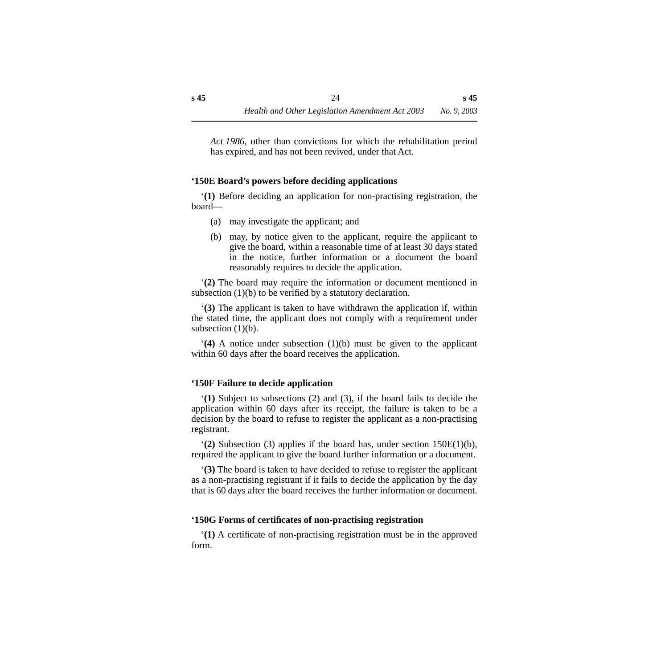*Act 1986*, other than convictions for which the rehabilitation period has expired, and has not been revived, under that Act.

#### <span id="page-25-0"></span>**'150E Board's powers before deciding applications**

'**(1)** Before deciding an application for non-practising registration, the board—

- (a) may investigate the applicant; and
- (b) may, by notice given to the applicant, require the applicant to give the board, within a reasonable time of at least 30 days stated in the notice, further information or a document the board reasonably requires to decide the application.

'**(2)** The board may require the information or document mentioned in subsection (1)(b) to be verified by a statutory declaration.

'**(3)** The applicant is taken to have withdrawn the application if, within the stated time, the applicant does not comply with a requirement under subsection  $(1)(b)$ .

'**(4)** A notice under subsection (1)(b) must be given to the applicant within 60 days after the board receives the application.

#### <span id="page-25-1"></span>**'150F Failure to decide application**

'**(1)** Subject to subsections (2) and (3), if the board fails to decide the application within 60 days after its receipt, the failure is taken to be a decision by the board to refuse to register the applicant as a non-practising registrant.

'**(2)** Subsection (3) applies if the board has, under section 150E(1)(b), required the applicant to give the board further information or a document.

'**(3)** The board is taken to have decided to refuse to register the applicant as a non-practising registrant if it fails to decide the application by the day that is 60 days after the board receives the further information or document.

#### <span id="page-25-2"></span>**'150G Forms of certificates of non-practising registration**

'**(1)** A certificate of non-practising registration must be in the approved form.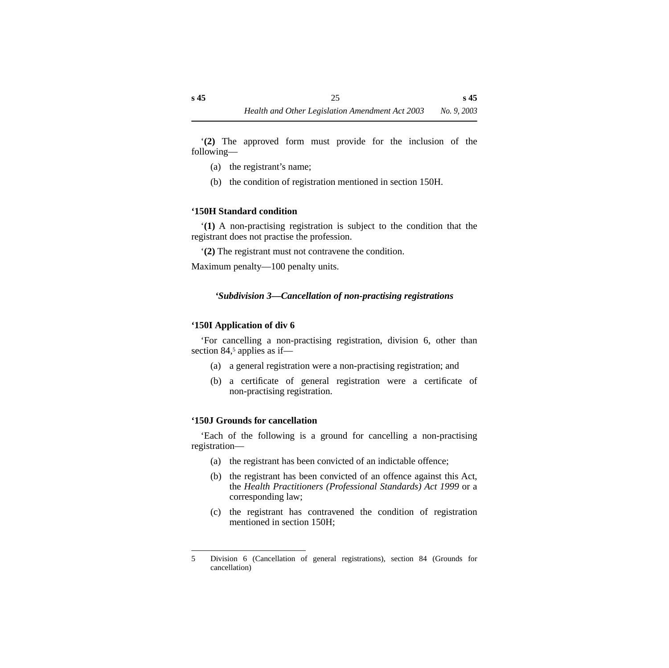'**(2)** The approved form must provide for the inclusion of the following—

- (a) the registrant's name;
- (b) the condition of registration mentioned in section 150H.

#### <span id="page-26-0"></span>**'150H Standard condition**

'**(1)** A non-practising registration is subject to the condition that the registrant does not practise the profession.

'**(2)** The registrant must not contravene the condition.

<span id="page-26-1"></span>Maximum penalty—100 penalty units.

#### *'Subdivision 3—Cancellation of non-practising registrations*

#### <span id="page-26-2"></span>**'150I Application of div 6**

'For cancelling a non-practising registration, division 6, other than section 84,<sup>5</sup> applies as if—

- (a) a general registration were a non-practising registration; and
- (b) a certificate of general registration were a certificate of non-practising registration.

#### <span id="page-26-3"></span>**'150J Grounds for cancellation**

'Each of the following is a ground for cancelling a non-practising registration—

- (a) the registrant has been convicted of an indictable offence;
- (b) the registrant has been convicted of an offence against this Act, the *Health Practitioners (Professional Standards) Act 1999* or a corresponding law;
- (c) the registrant has contravened the condition of registration mentioned in section 150H;

<sup>5</sup> Division 6 (Cancellation of general registrations), section 84 (Grounds for cancellation)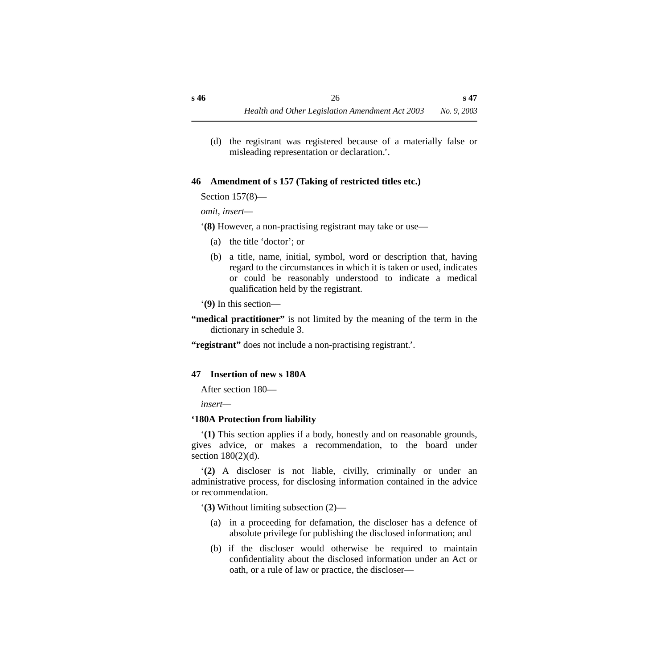(d) the registrant was registered because of a materially false or misleading representation or declaration.'.

#### <span id="page-27-0"></span>**46 Amendment of s 157 (Taking of restricted titles etc.)**

Section 157(8)—

*omit, insert—*

'**(8)** However, a non-practising registrant may take or use—

- (a) the title 'doctor'; or
- (b) a title, name, initial, symbol, word or description that, having regard to the circumstances in which it is taken or used, indicates or could be reasonably understood to indicate a medical qualification held by the registrant.

'**(9)** In this section—

**"medical practitioner"** is not limited by the meaning of the term in the dictionary in schedule 3.

**"registrant"** does not include a non-practising registrant.'.

#### <span id="page-27-1"></span>**47 Insertion of new s 180A**

After section 180—

*insert—*

#### <span id="page-27-2"></span>**'180A Protection from liability**

'**(1)** This section applies if a body, honestly and on reasonable grounds, gives advice, or makes a recommendation, to the board under section 180(2)(d).

'**(2)** A discloser is not liable, civilly, criminally or under an administrative process, for disclosing information contained in the advice or recommendation.

'**(3)** Without limiting subsection (2)—

- (a) in a proceeding for defamation, the discloser has a defence of absolute privilege for publishing the disclosed information; and
- (b) if the discloser would otherwise be required to maintain confidentiality about the disclosed information under an Act or oath, or a rule of law or practice, the discloser—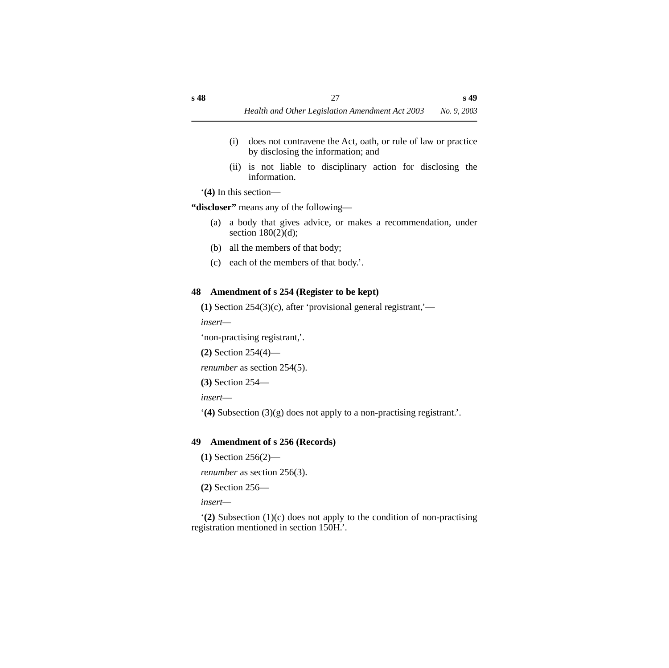- (i) does not contravene the Act, oath, or rule of law or practice by disclosing the information; and
- (ii) is not liable to disciplinary action for disclosing the information.

'**(4)** In this section—

**"discloser"** means any of the following—

- (a) a body that gives advice, or makes a recommendation, under section  $180(2)(d)$ ;
- (b) all the members of that body;
- (c) each of the members of that body.'.

## <span id="page-28-0"></span>**48 Amendment of s 254 (Register to be kept)**

**(1)** Section 254(3)(c), after 'provisional general registrant,'—

*insert—*

'non-practising registrant,'.

**(2)** Section 254(4)—

*renumber* as section 254(5).

**(3)** Section 254—

*insert*—

'**(4)** Subsection (3)(g) does not apply to a non-practising registrant.'.

## <span id="page-28-1"></span>**49 Amendment of s 256 (Records)**

**(1)** Section 256(2)—

*renumber* as section 256(3).

**(2)** Section 256—

*insert—*

'**(2)** Subsection (1)(c) does not apply to the condition of non-practising registration mentioned in section 150H.'.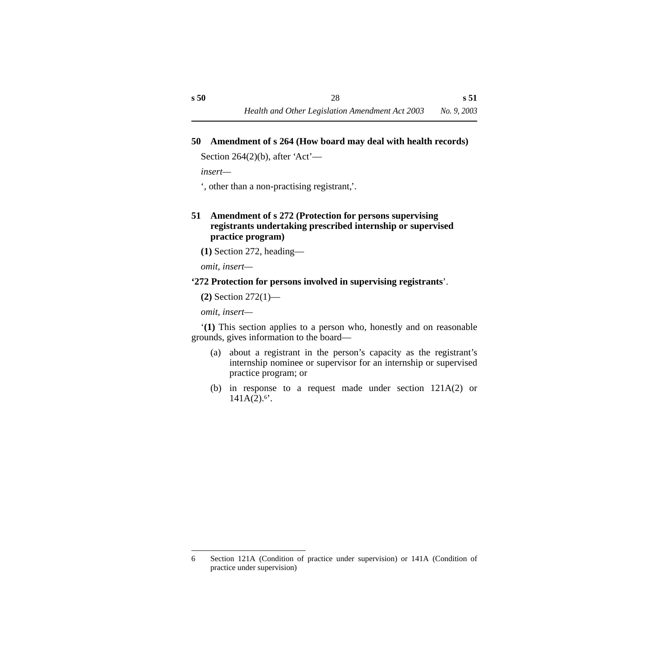#### <span id="page-29-0"></span>**50 Amendment of s 264 (How board may deal with health records)**

Section 264 $(2)(b)$ , after 'Act'—

*insert—*

', other than a non-practising registrant,'.

#### <span id="page-29-1"></span>**51 Amendment of s 272 (Protection for persons supervising registrants undertaking prescribed internship or supervised practice program)**

**(1)** Section 272, heading—

*omit, insert—*

#### **'272 Protection for persons involved in supervising registrants**'.

**(2)** Section 272(1)—

*omit, insert—*

'**(1)** This section applies to a person who, honestly and on reasonable grounds, gives information to the board—

- (a) about a registrant in the person's capacity as the registrant's internship nominee or supervisor for an internship or supervised practice program; or
- (b) in response to a request made under section 121A(2) or  $141A(2).6$ <sup>\*</sup>.

<sup>6</sup> Section 121A (Condition of practice under supervision) or 141A (Condition of practice under supervision)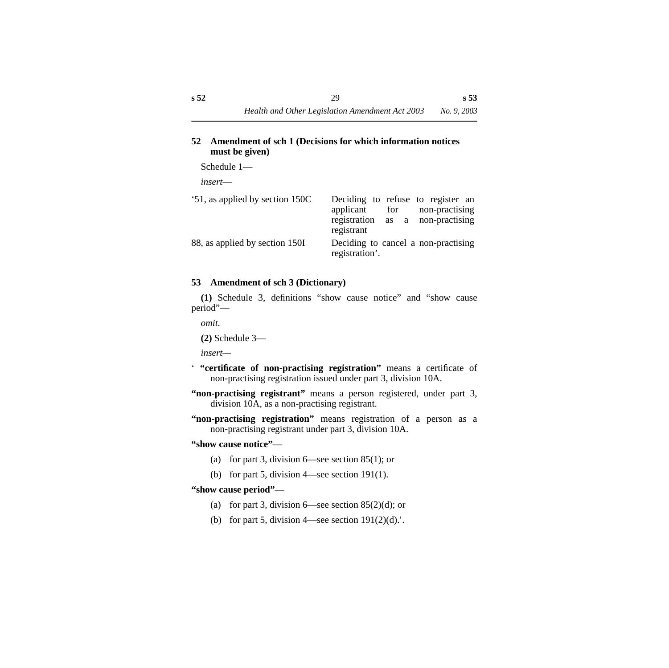#### <span id="page-30-0"></span>**52 Amendment of sch 1 (Decisions for which information notices must be given)**

Schedule 1—

*insert*—

| '51, as applied by section 150C | Deciding to refuse to register an<br>for non-practising<br>applicant |
|---------------------------------|----------------------------------------------------------------------|
|                                 | registration as a non-practising<br>registrant                       |
| 88, as applied by section 150I  | Deciding to cancel a non-practising<br>registration'.                |

#### <span id="page-30-1"></span>**53 Amendment of sch 3 (Dictionary)**

**(1)** Schedule 3, definitions "show cause notice" and "show cause period"—

*omit*.

**(2)** Schedule 3—

*insert—*

- ' **"certificate of non-practising registration"** means a certificate of non-practising registration issued under part 3, division 10A.
- **"non-practising registrant"** means a person registered, under part 3, division 10A, as a non-practising registrant.
- **"non-practising registration"** means registration of a person as a non-practising registrant under part 3, division 10A.

**"show cause notice"**—

- (a) for part 3, division  $6$ —see section 85(1); or
- (b) for part 5, division 4—see section 191(1).

#### **"show cause period"**—

- (a) for part 3, division 6—see section  $85(2)(d)$ ; or
- (b) for part 5, division 4—see section  $191(2)(d)$ .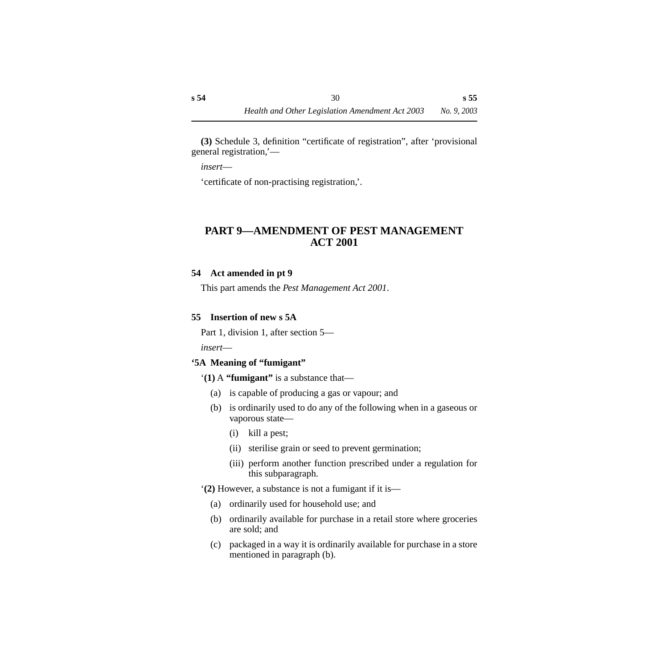**(3)** Schedule 3, definition "certificate of registration", after 'provisional general registration,'—

*insert*—

'certificate of non-practising registration,'.

## <span id="page-31-0"></span>**PART 9—AMENDMENT OF PEST MANAGEMENT ACT 2001**

#### <span id="page-31-1"></span>**54 Act amended in pt 9**

This part amends the *Pest Management Act 2001*.

#### <span id="page-31-2"></span>**55 Insertion of new s 5A**

Part 1, division 1, after section 5—

*insert*—

#### <span id="page-31-3"></span>**'5A Meaning of "fumigant"**

#### '**(1)** A **"fumigant"** is a substance that—

- (a) is capable of producing a gas or vapour; and
- (b) is ordinarily used to do any of the following when in a gaseous or vaporous state—
	- (i) kill a pest;
	- (ii) sterilise grain or seed to prevent germination;
	- (iii) perform another function prescribed under a regulation for this subparagraph.

'**(2)** However, a substance is not a fumigant if it is—

- (a) ordinarily used for household use; and
- (b) ordinarily available for purchase in a retail store where groceries are sold; and
- (c) packaged in a way it is ordinarily available for purchase in a store mentioned in paragraph (b).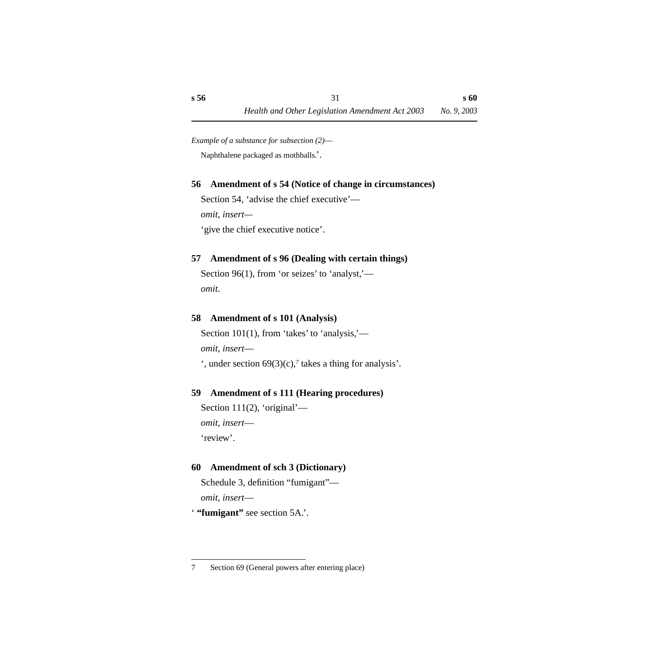*Example of a substance for subsection (2)*— Naphthalene packaged as mothballs.'.

#### <span id="page-32-0"></span>**56 Amendment of s 54 (Notice of change in circumstances)**

Section 54, 'advise the chief executive' *omit, insert—* 'give the chief executive notice'.

#### <span id="page-32-1"></span>**57 Amendment of s 96 (Dealing with certain things)**

Section 96(1), from 'or seizes' to 'analyst,' *omit*.

#### <span id="page-32-2"></span>**58 Amendment of s 101 (Analysis)**

Section 101(1), from 'takes' to 'analysis,' *omit, insert*—

', under section 69(3)(c),*7* takes a thing for analysis'.

#### <span id="page-32-3"></span>**59 Amendment of s 111 (Hearing procedures)**

Section 111(2), 'original' *omit, insert*— 'review'.

#### <span id="page-32-4"></span>**60 Amendment of sch 3 (Dictionary)**

Schedule 3, definition "fumigant" *omit, insert*—

' **"fumigant"** see section 5A.'.

<sup>7</sup> Section 69 (General powers after entering place)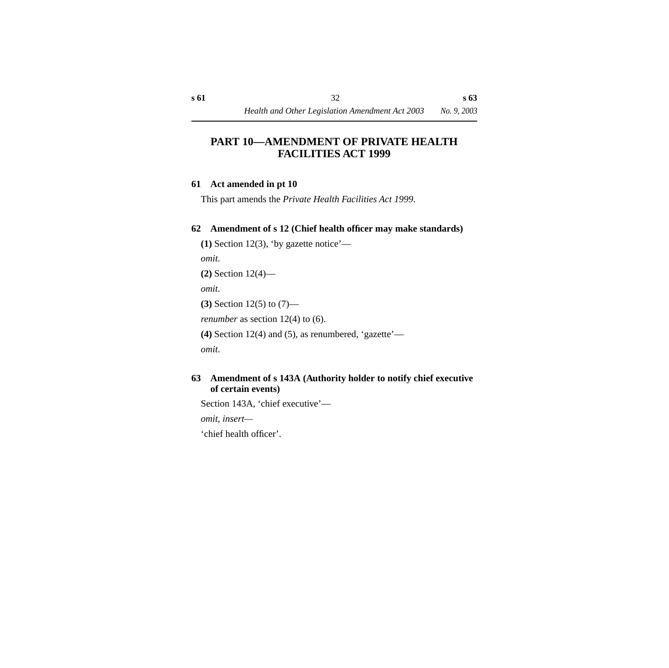## <span id="page-33-0"></span>**PART 10—AMENDMENT OF PRIVATE HEALTH FACILITIES ACT 1999**

#### <span id="page-33-1"></span>**61 Act amended in pt 10**

This part amends the *Private Health Facilities Act 1999*.

#### <span id="page-33-2"></span>**62 Amendment of s 12 (Chief health officer may make standards)**

**(1)** Section 12(3), 'by gazette notice' *omit*. **(2)** Section 12(4) *omit*. **(3)** Section 12(5) to (7) *renumber* as section 12(4) to (6). **(4)** Section 12(4) and (5), as renumbered, 'gazette'—

*omit*.

#### <span id="page-33-3"></span>**63 Amendment of s 143A (Authority holder to notify chief executive of certain events)**

Section 143A, 'chief executive'—

*omit, insert—*

'chief health officer'.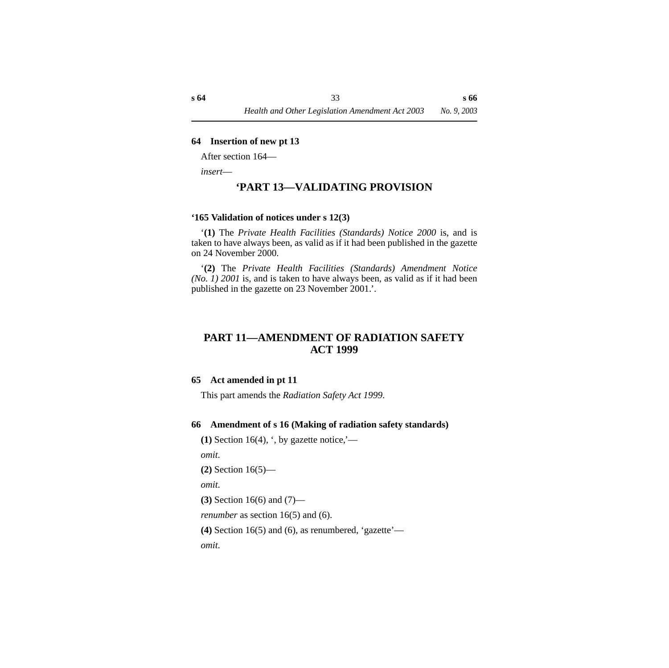#### <span id="page-34-0"></span>**64 Insertion of new pt 13**

After section 164—

<span id="page-34-1"></span>*insert*—

## **'PART 13—VALIDATING PROVISION**

#### <span id="page-34-2"></span>**'165 Validation of notices under s 12(3)**

'**(1)** The *Private Health Facilities (Standards) Notice 2000* is, and is taken to have always been, as valid as if it had been published in the gazette on 24 November 2000.

'**(2)** The *Private Health Facilities (Standards) Amendment Notice (No. 1) 2001* is, and is taken to have always been, as valid as if it had been published in the gazette on 23 November 2001.'.

## <span id="page-34-3"></span>**PART 11—AMENDMENT OF RADIATION SAFETY ACT 1999**

#### <span id="page-34-4"></span>**65 Act amended in pt 11**

This part amends the *Radiation Safety Act 1999*.

#### <span id="page-34-5"></span>**66 Amendment of s 16 (Making of radiation safety standards)**

**(1)** Section 16(4),  $\cdot$ , by gazette notice,  $\cdot$ —

*omit*.

**(2)** Section 16(5)—

*omit*.

**(3)** Section 16(6) and (7)—

*renumber* as section 16(5) and (6).

```
(4) Section 16(5) and (6), as renumbered, 'gazette'—
```
*omit*.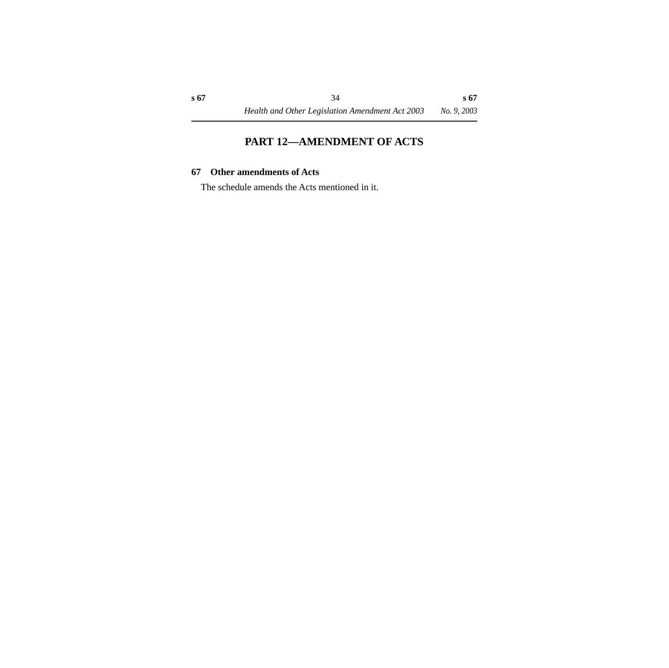## **PART 12—AMENDMENT OF ACTS**

#### <span id="page-35-1"></span><span id="page-35-0"></span>**67 Other amendments of Acts**

The schedule amends the Acts mentioned in it.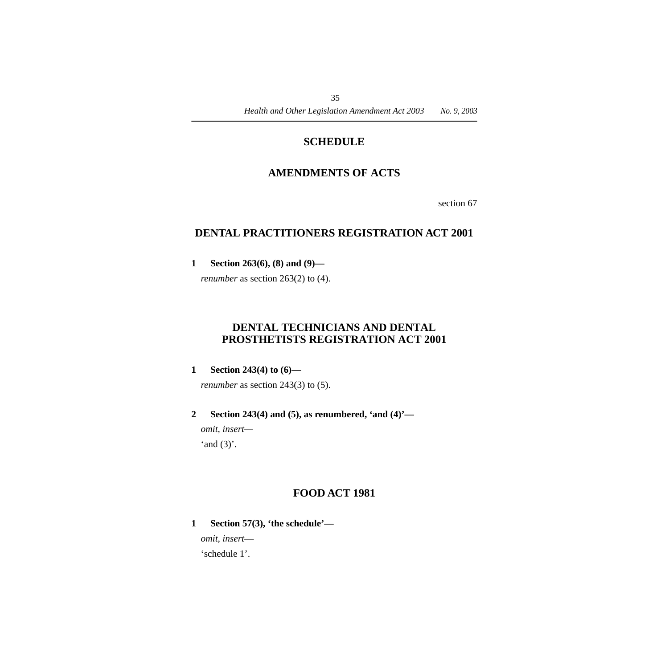## **SCHEDULE**

## <span id="page-36-0"></span>**AMENDMENTS OF ACTS**

section 67

## <span id="page-36-2"></span><span id="page-36-1"></span>**DENTAL PRACTITIONERS REGISTRATION ACT 2001**

**1 Section 263(6), (8) and (9)—**

*renumber* as section 263(2) to (4).

## <span id="page-36-3"></span>**DENTAL TECHNICIANS AND DENTAL PROSTHETISTS REGISTRATION ACT 2001**

**1 Section 243(4) to (6)—**

*renumber* as section 243(3) to (5).

**2 Section 243(4) and (5), as renumbered, 'and (4)'** *omit, insert—*

'and  $(3)$ '.

## **FOOD ACT 1981**

<span id="page-36-4"></span>**1 Section 57(3), 'the schedule'—**

*omit, insert*—

'schedule 1'.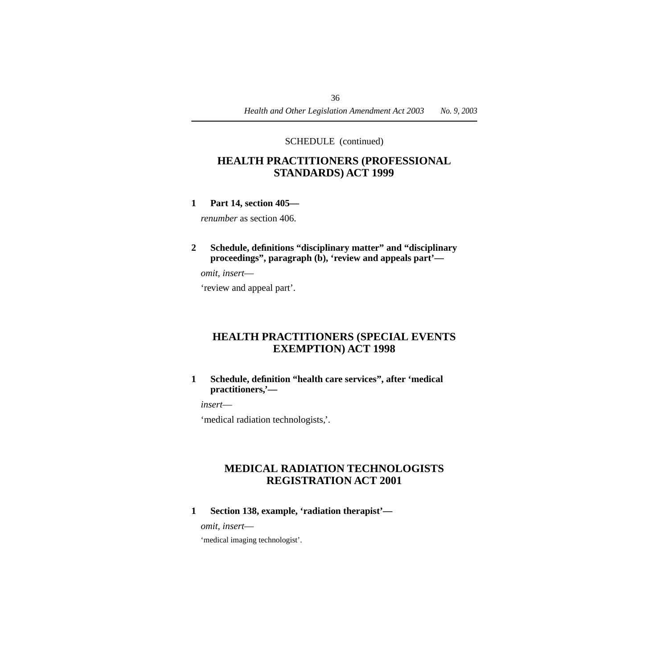## <span id="page-37-0"></span>**HEALTH PRACTITIONERS (PROFESSIONAL STANDARDS) ACT 1999**

**1 Part 14, section 405—**

*renumber* as section 406.

**2 Schedule, definitions "disciplinary matter" and "disciplinary proceedings", paragraph (b), 'review and appeals part'—**

*omit, insert*—

'review and appeal part'.

## <span id="page-37-1"></span>**HEALTH PRACTITIONERS (SPECIAL EVENTS EXEMPTION) ACT 1998**

#### **1 Schedule, definition "health care services", after 'medical practitioners,'—**

*insert*—

'medical radiation technologists,'.

## <span id="page-37-2"></span>**MEDICAL RADIATION TECHNOLOGISTS REGISTRATION ACT 2001**

**1 Section 138, example, 'radiation therapist'—**

*omit, insert*—

'medical imaging technologist'.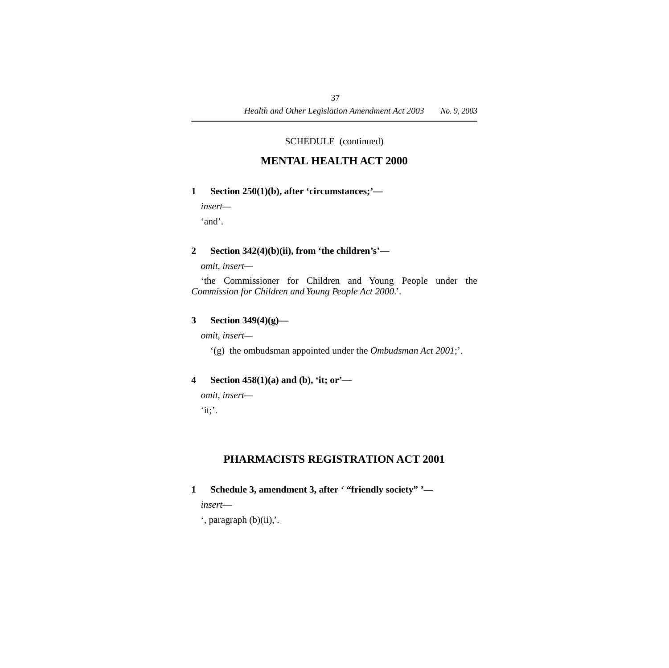## **MENTAL HEALTH ACT 2000**

#### <span id="page-38-0"></span>**1 Section 250(1)(b), after 'circumstances;'—**

*insert—*

'and'.

#### **2 Section 342(4)(b)(ii), from 'the children's'—**

*omit, insert—*

'the Commissioner for Children and Young People under the *Commission for Children and Young People Act 2000*.'.

#### **3 Section 349(4)(g)—**

*omit, insert—*

'(g) the ombudsman appointed under the *Ombudsman Act 2001*;'.

#### **4 Section 458(1)(a) and (b), 'it; or'—**

*omit, insert—*  $\mathbf{u}$ :

## **PHARMACISTS REGISTRATION ACT 2001**

<span id="page-38-1"></span>**1 Schedule 3, amendment 3, after ' "friendly society" '—**

*insert*—

 $'$ , paragraph  $(b)(ii)$ ,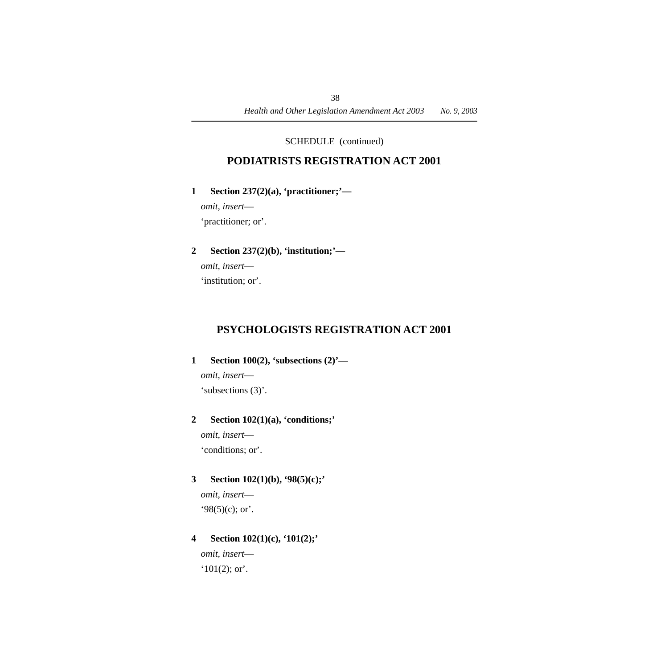## **PODIATRISTS REGISTRATION ACT 2001**

#### <span id="page-39-0"></span>**1 Section 237(2)(a), 'practitioner;'—**

*omit, insert*— 'practitioner; or'.

#### **2 Section 237(2)(b), 'institution;'—**

*omit, insert*—

'institution; or'.

## <span id="page-39-1"></span>**PSYCHOLOGISTS REGISTRATION ACT 2001**

#### **1 Section 100(2), 'subsections (2)'—**

*omit, insert*—

'subsections (3)'.

#### **2 Section 102(1)(a), 'conditions;'**

*omit, insert*— 'conditions; or'.

#### **3 Section 102(1)(b), '98(5)(c);'**

*omit, insert*—  $98(5)(c)$ ; or'.

#### **4 Section 102(1)(c), '101(2);'**

*omit, insert*—  $'101(2)$ ; or'.